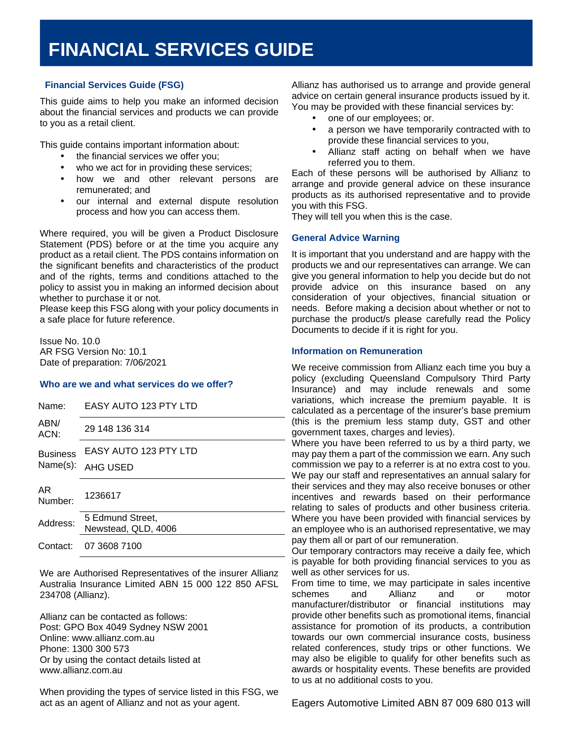## **(FSG) Financial Services Guide (FSG)**

This guide aims to help you make an informed decision about the financial services and products we can provide to you as a retail client.

This guide contains important information about:

- the financial services we offer you;
- who we act for in providing these services;
- how we and other relevant persons are remunerated; and
- our internal and external dispute resolution process and how you can access them.

Where required, you will be given a Product Disclosure Statement (PDS) before or at the time you acquire any product as a retail client. The PDS contains information on the significant benefits and characteristics of the product and of the rights, terms and conditions attached to the policy to assist you in making an informed decision about whether to purchase it or not.

Please keep this FSG along with your policy documents in a safe place for future reference.

Issue No. 10.0 AR FSG Version No: 10.1 Date of preparation: 7/06/2021

### **Who are we and what services do we offer?**

| Name:                       | EASY AUTO 123 PTY LTD                   |
|-----------------------------|-----------------------------------------|
| ABN/<br>ACN:                | 29 148 136 314                          |
| <b>Business</b><br>Name(s): | EASY AUTO 123 PTY LTD                   |
|                             | <b>AHG USED</b>                         |
| AR.<br>Number:              | 1236617                                 |
| Address:                    | 5 Edmund Street.<br>Newstead, QLD, 4006 |
| Contact:                    | 07 3608 7100                            |

We are Authorised Representatives of the insurer Allianz Australia Insurance Limited ABN 15 000 122 850 AFSL 234708 (Allianz).

Allianz can be contacted as follows: Post: GPO Box 4049 Sydney NSW 2001 Online: www.allianz.com.au Phone: 1300 300 573 Or by using the contact details listed at www.allianz.com.au

When providing the types of service listed in this FSG, we act as an agent of Allianz and not as your agent.

Allianz has authorised us to arrange and provide general advice on certain general insurance products issued by it. You may be provided with these financial services by:

- one of our employees; or.
- a person we have temporarily contracted with to provide these financial services to you,
- Allianz staff acting on behalf when we have referred you to them.

Each of these persons will be authorised by Allianz to arrange and provide general advice on these insurance products as its authorised representative and to provide you with this FSG.

They will tell you when this is the case.

### **General Advice Warning**

It is important that you understand and are happy with the products we and our representatives can arrange. We can give you general information to help you decide but do not provide advice on this insurance based on any consideration of your objectives, financial situation or needs. Before making a decision about whether or not to purchase the product/s please carefully read the Policy Documents to decide if it is right for you.

### **Information on Remuneration**

We receive commission from Allianz each time you buy a policy (excluding Queensland Compulsory Third Party Insurance) and may include renewals and some variations, which increase the premium payable. It is calculated as a percentage of the insurer's base premium (this is the premium less stamp duty, GST and other government taxes, charges and levies).

Where you have been referred to us by a third party, we may pay them a part of the commission we earn. Any such commission we pay to a referrer is at no extra cost to you. We pay our staff and representatives an annual salary for their services and they may also receive bonuses or other incentives and rewards based on their performance relating to sales of products and other business criteria. Where you have been provided with financial services by an employee who is an authorised representative, we may pay them all or part of our remuneration.

Our temporary contractors may receive a daily fee, which is payable for both providing financial services to you as well as other services for us.

From time to time, we may participate in sales incentive schemes and Allianz and or motor manufacturer/distributor or financial institutions may provide other benefits such as promotional items, financial assistance for promotion of its products, a contribution towards our own commercial insurance costs, business related conferences, study trips or other functions. We may also be eligible to qualify for other benefits such as awards or hospitality events. These benefits are provided to us at no additional costs to you.

Eagers Automotive Limited ABN 87 009 680 013 will